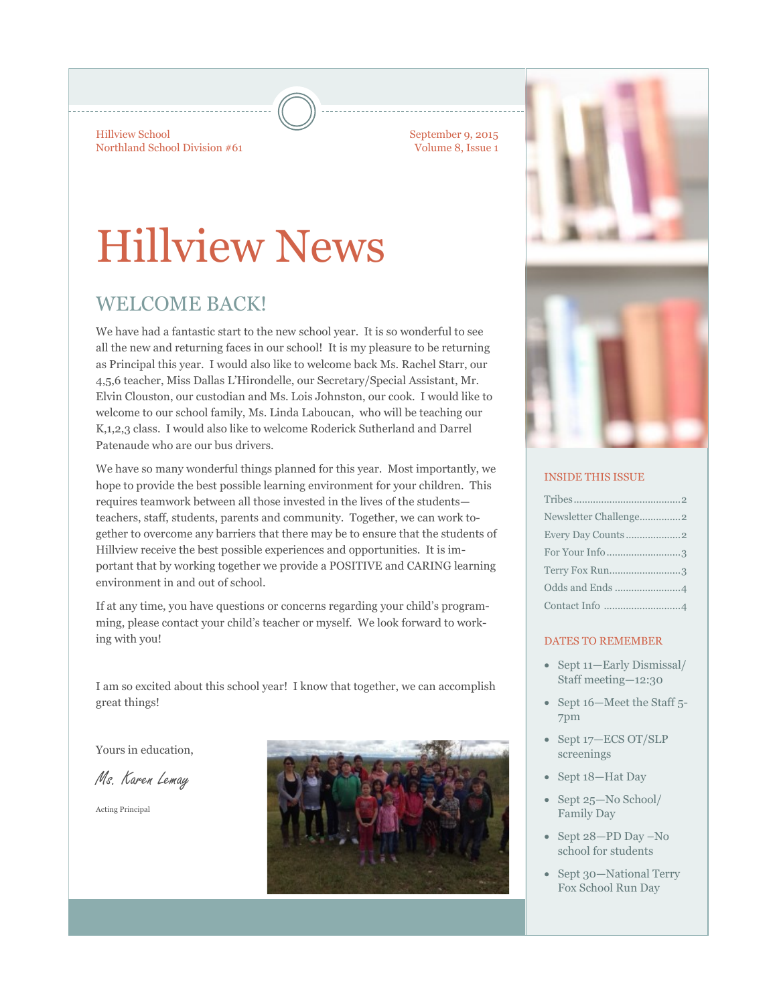Hillview School Northland School Division #61 September 9, 2015 Volume 8, Issue 1

# Hillview News

### WELCOME BACK!

We have had a fantastic start to the new school year. It is so wonderful to see all the new and returning faces in our school! It is my pleasure to be returning as Principal this year. I would also like to welcome back Ms. Rachel Starr, our 4,5,6 teacher, Miss Dallas L'Hirondelle, our Secretary/Special Assistant, Mr. Elvin Clouston, our custodian and Ms. Lois Johnston, our cook. I would like to welcome to our school family, Ms. Linda Laboucan, who will be teaching our K,1,2,3 class. I would also like to welcome Roderick Sutherland and Darrel Patenaude who are our bus drivers.

We have so many wonderful things planned for this year. Most importantly, we hope to provide the best possible learning environment for your children. This requires teamwork between all those invested in the lives of the students teachers, staff, students, parents and community. Together, we can work together to overcome any barriers that there may be to ensure that the students of Hillview receive the best possible experiences and opportunities. It is important that by working together we provide a POSITIVE and CARING learning environment in and out of school.

If at any time, you have questions or concerns regarding your child's programming, please contact your child's teacher or myself. We look forward to working with you!

I am so excited about this school year! I know that together, we can accomplish great things!

Yours in education,

Ms. Karen Lemay

Acting Principal





#### INSIDE THIS ISSUE

| For Your Info 3 |
|-----------------|
| Terry Fox Run3  |
|                 |
|                 |

#### DATES TO REMEMBER

- Sept 11—Early Dismissal/ Staff meeting—12:30
- Sept 16—Meet the Staff 5-7pm
- Sept 17-ECS OT/SLP screenings
- Sept 18—Hat Day
- Sept 25-No School/ Family Day
- Sept 28-PD Day -No school for students
- Sept 30—National Terry Fox School Run Day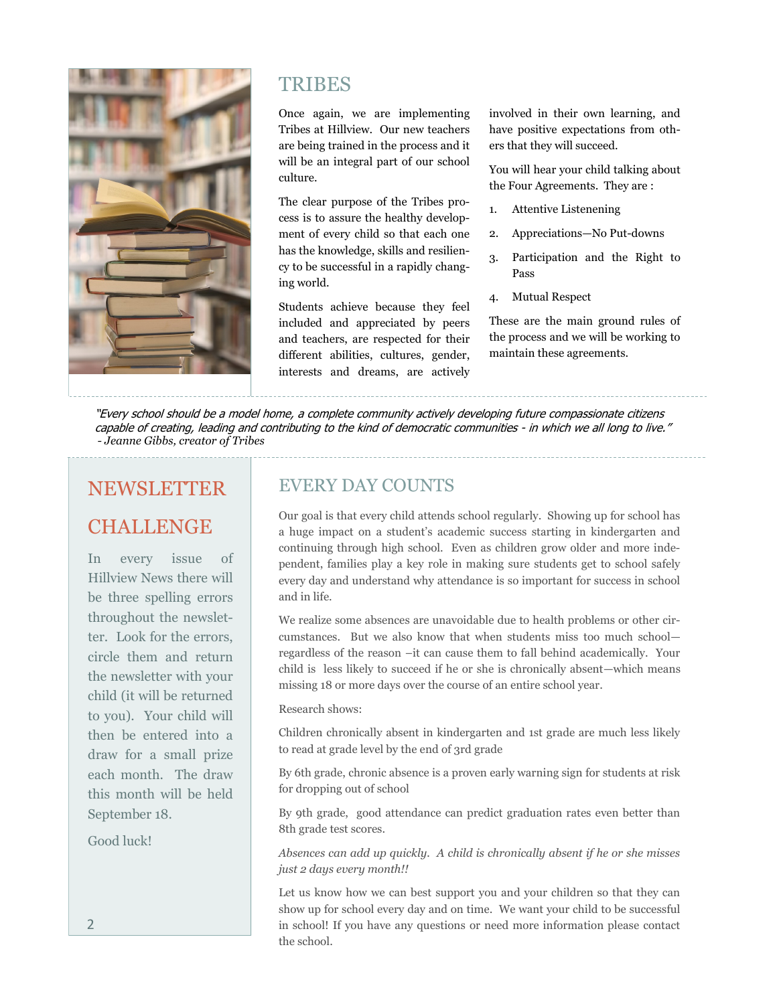

### **TRIBES**

Once again, we are implementing Tribes at Hillview. Our new teachers are being trained in the process and it will be an integral part of our school culture.

The clear purpose of the Tribes process is to assure the healthy development of every child so that each one has the knowledge, skills and resiliency to be successful in a rapidly changing world.

Students achieve because they feel included and appreciated by peers and teachers, are respected for their different abilities, cultures, gender, interests and dreams, are actively involved in their own learning, and have positive expectations from others that they will succeed.

You will hear your child talking about the Four Agreements. They are :

- 1. Attentive Listenening
- 2. Appreciations—No Put-downs
- 3. Participation and the Right to Pass
- Mutual Respect

These are the main ground rules of the process and we will be working to maintain these agreements.

"Every school should be a model home, a complete community actively developing future compassionate citizens capable of creating, leading and contributing to the kind of democratic communities - in which we all long to live." *- Jeanne Gibbs, creator of Tribes*

### NEWSLETTER

### CHALLENGE

In every issue of Hillview News there will be three spelling errors throughout the newsletter. Look for the errors, circle them and return the newsletter with your child (it will be returned to you). Your child will then be entered into a draw for a small prize each month. The draw this month will be held September 18.

Good luck!

### EVERY DAY COUNTS

Our goal is that every child attends school regularly. Showing up for school has a huge impact on a student's academic success starting in kindergarten and continuing through high school. Even as children grow older and more independent, families play a key role in making sure students get to school safely every day and understand why attendance is so important for success in school and in life.

We realize some absences are unavoidable due to health problems or other circumstances. But we also know that when students miss too much school regardless of the reason –it can cause them to fall behind academically. Your child is less likely to succeed if he or she is chronically absent—which means missing 18 or more days over the course of an entire school year.

#### Research shows:

Children chronically absent in kindergarten and 1st grade are much less likely to read at grade level by the end of 3rd grade

By 6th grade, chronic absence is a proven early warning sign for students at risk for dropping out of school

By 9th grade, good attendance can predict graduation rates even better than 8th grade test scores.

*Absences can add up quickly. A child is chronically absent if he or she misses just 2 days every month!!* 

Let us know how we can best support you and your children so that they can show up for school every day and on time. We want your child to be successful in school! If you have any questions or need more information please contact the school.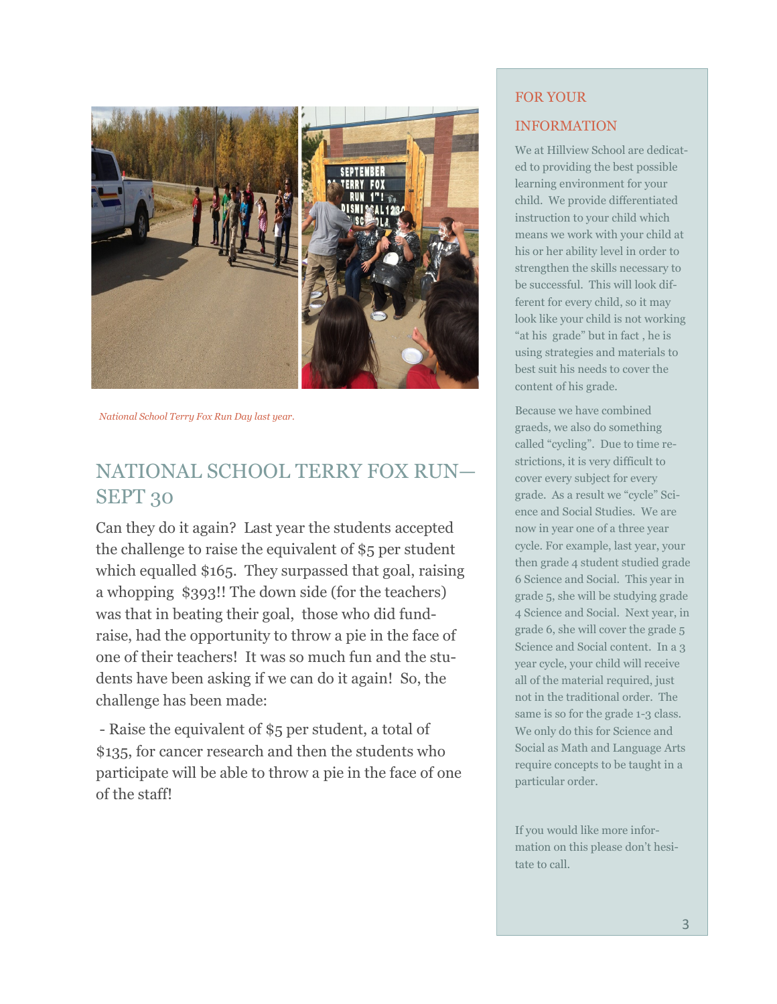

*National School Terry Fox Run Day last year.*

### NATIONAL SCHOOL TERRY FOX RUN— SEPT 30

Can they do it again? Last year the students accepted the challenge to raise the equivalent of \$5 per student which equalled \$165. They surpassed that goal, raising a whopping \$393!! The down side (for the teachers) was that in beating their goal, those who did fundraise, had the opportunity to throw a pie in the face of one of their teachers! It was so much fun and the students have been asking if we can do it again! So, the challenge has been made:

- Raise the equivalent of \$5 per student, a total of \$135, for cancer research and then the students who participate will be able to throw a pie in the face of one of the staff!

### FOR YOUR INFORMATION

We at Hillview School are dedicated to providing the best possible learning environment for your child. We provide differentiated instruction to your child which means we work with your child at his or her ability level in order to strengthen the skills necessary to be successful. This will look different for every child, so it may look like your child is not working "at his grade" but in fact , he is using strategies and materials to best suit his needs to cover the content of his grade.

Because we have combined graeds, we also do something called "cycling". Due to time restrictions, it is very difficult to cover every subject for every grade. As a result we "cycle" Science and Social Studies. We are now in year one of a three year cycle. For example, last year, your then grade 4 student studied grade 6 Science and Social. This year in grade 5, she will be studying grade 4 Science and Social. Next year, in grade 6, she will cover the grade 5 Science and Social content. In a 3 year cycle, your child will receive all of the material required, just not in the traditional order. The same is so for the grade 1-3 class. We only do this for Science and Social as Math and Language Arts require concepts to be taught in a particular order.

If you would like more information on this please don't hesitate to call.